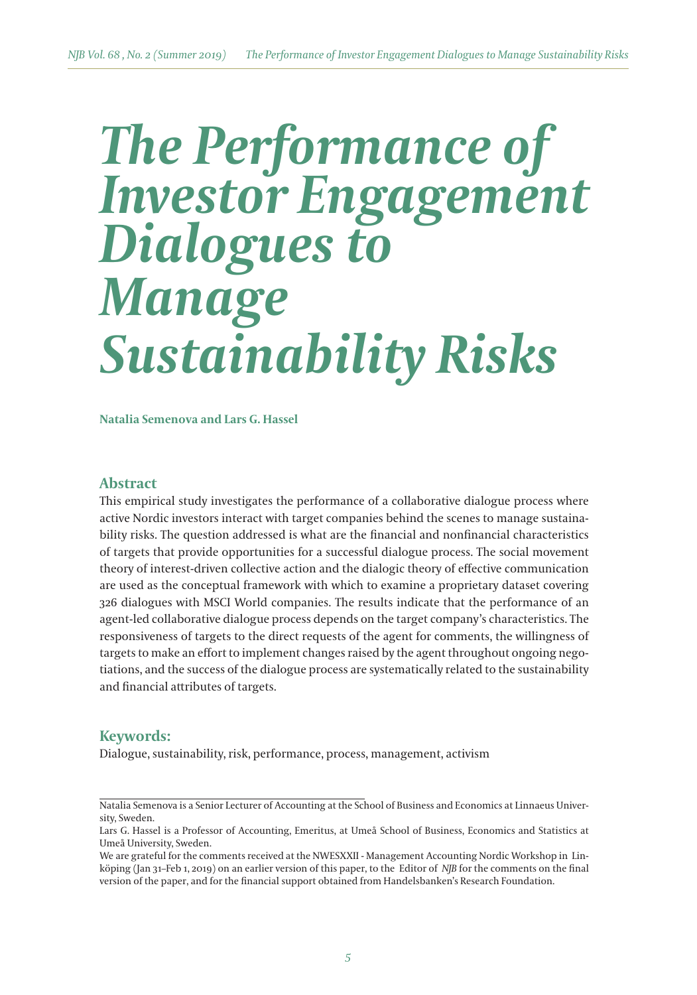# *The Performance of Investor Engagement Dialogues to Manage Sustainability Risks*

**Natalia Semenova and Lars G. Hassel**

## **Abstract**

This empirical study investigates the performance of a collaborative dialogue process where active Nordic investors interact with target companies behind the scenes to manage sustainability risks. The question addressed is what are the financial and nonfinancial characteristics of targets that provide opportunities for a successful dialogue process. The social movement theory of interest-driven collective action and the dialogic theory of effective communication are used as the conceptual framework with which to examine a proprietary dataset covering 326 dialogues with MSCI World companies. The results indicate that the performance of an agent-led collaborative dialogue process depends on the target company's characteristics. The responsiveness of targets to the direct requests of the agent for comments, the willingness of targets to make an effort to implement changes raised by the agent throughout ongoing negotiations, and the success of the dialogue process are systematically related to the sustainability and financial atributes of targets.

## **Keywords:**

Dialogue, sustainability, risk, performance, process, management, activism

Natalia Semenova is a Senior Lecturer of Accounting at the School of Business and Economics at Linnaeus University, Sweden.

Lars G. Hassel is a Professor of Accounting, Emeritus, at Umeå School of Business, Economics and Statistics at Umeå University, Sweden.

We are grateful for the comments received at the NWESXXII - Management Accounting Nordic Workshop in Linköping (Jan 31–Feb 1, 2019) on an earlier version of this paper, to the Editor of *NJB* for the comments on the final version of the paper, and for the financial support obtained from Handelsbanken's Research Foundation.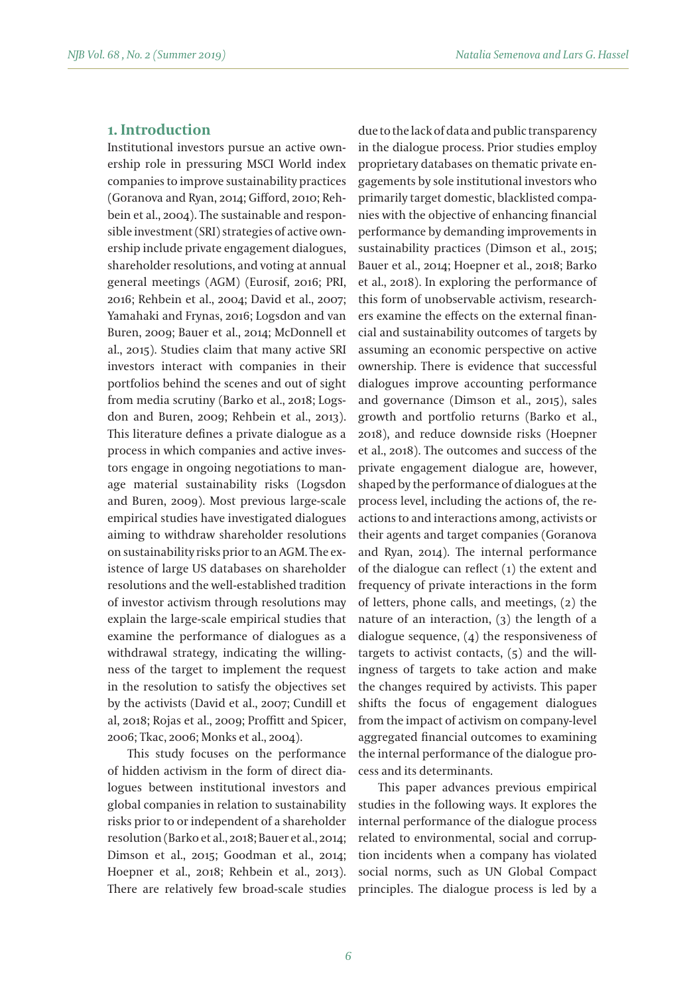## **1. Introduction**

Institutional investors pursue an active ownership role in pressuring MSCI World index companies to improve sustainability practices (Goranova and Ryan, 2014; Gifford, 2010; Rehbein et al., 2004). The sustainable and responsible investment (SRI) strategies of active ownership include private engagement dialogues, shareholder resolutions, and voting at annual general meetings (AGM) (Eurosif, 2016; PRI, 2016; Rehbein et al., 2004; David et al., 2007; Yamahaki and Frynas, 2016; Logsdon and van Buren, 2009; Bauer et al., 2014; McDonnell et al., 2015). Studies claim that many active SRI investors interact with companies in their portfolios behind the scenes and out of sight from media scrutiny (Barko et al., 2018; Logsdon and Buren, 2009; Rehbein et al., 2013). This literature defines a private dialogue as a process in which companies and active investors engage in ongoing negotiations to manage material sustainability risks (Logsdon and Buren, 2009). Most previous large-scale empirical studies have investigated dialogues aiming to withdraw shareholder resolutions on sustainability risks prior to an AGM. The existence of large US databases on shareholder resolutions and the well-established tradition of investor activism through resolutions may explain the large-scale empirical studies that examine the performance of dialogues as a withdrawal strategy, indicating the willingness of the target to implement the request in the resolution to satisfy the objectives set by the activists (David et al., 2007; Cundill et al, 2018; Rojas et al., 2009; Proffitt and Spicer, 2006; Tkac, 2006; Monks et al., 2004).

This study focuses on the performance of hidden activism in the form of direct dialogues between institutional investors and global companies in relation to sustainability risks prior to or independent of a shareholder resolution (Barko et al., 2018; Bauer et al., 2014; Dimson et al., 2015; Goodman et al., 2014; Hoepner et al., 2018; Rehbein et al., 2013). There are relatively few broad-scale studies

due to the lack of data and public transparency in the dialogue process. Prior studies employ proprietary databases on thematic private engagements by sole institutional investors who primarily target domestic, blacklisted companies with the objective of enhancing financial performance by demanding improvements in sustainability practices (Dimson et al., 2015; Bauer et al., 2014; Hoepner et al., 2018; Barko et al., 2018). In exploring the performance of this form of unobservable activism, researchers examine the effects on the external financial and sustainability outcomes of targets by assuming an economic perspective on active ownership. There is evidence that successful dialogues improve accounting performance and governance (Dimson et al., 2015), sales growth and portfolio returns (Barko et al., 2018), and reduce downside risks (Hoepner et al., 2018). The outcomes and success of the private engagement dialogue are, however, shaped by the performance of dialogues at the process level, including the actions of, the reactions to and interactions among, activists or their agents and target companies (Goranova and Ryan, 2014). The internal performance of the dialogue can reflect (1) the extent and frequency of private interactions in the form of leters, phone calls, and meetings, (2) the nature of an interaction, (3) the length of a dialogue sequence, (4) the responsiveness of targets to activist contacts, (5) and the willingness of targets to take action and make the changes required by activists. This paper shifts the focus of engagement dialogues from the impact of activism on company-level aggregated financial outcomes to examining the internal performance of the dialogue process and its determinants.

This paper advances previous empirical studies in the following ways. It explores the internal performance of the dialogue process related to environmental, social and corruption incidents when a company has violated social norms, such as UN Global Compact principles. The dialogue process is led by a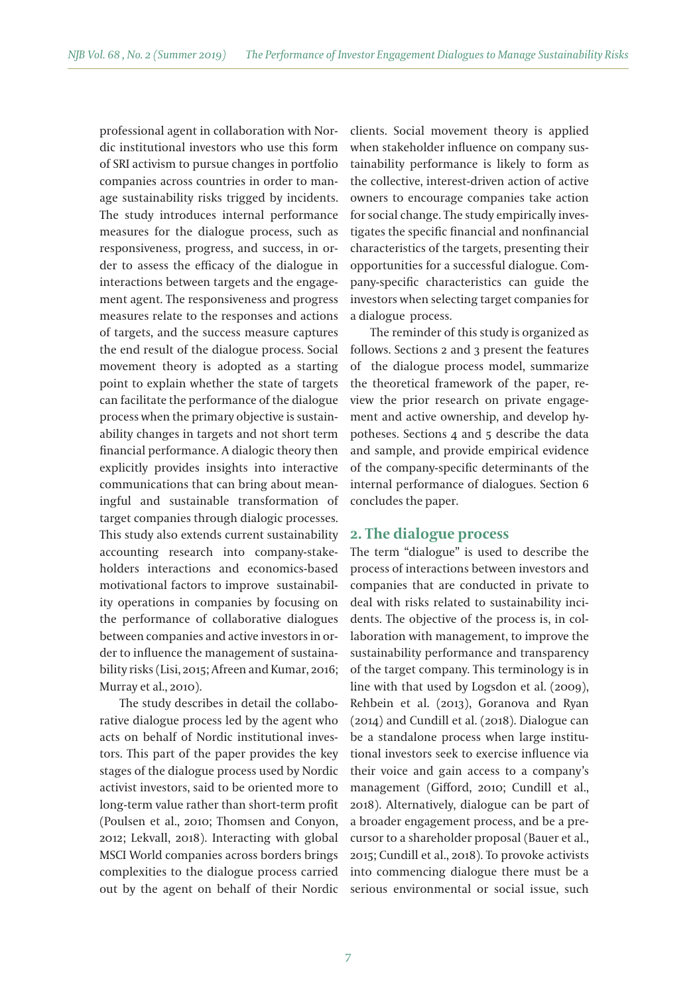professional agent in collaboration with Nordic institutional investors who use this form of SRI activism to pursue changes in portfolio companies across countries in order to manage sustainability risks trigged by incidents. The study introduces internal performance measures for the dialogue process, such as responsiveness, progress, and success, in order to assess the efficacy of the dialogue in interactions between targets and the engagement agent. The responsiveness and progress measures relate to the responses and actions of targets, and the success measure captures the end result of the dialogue process. Social movement theory is adopted as a starting point to explain whether the state of targets can facilitate the performance of the dialogue process when the primary objective is sustainability changes in targets and not short term financial performance. A dialogic theory then explicitly provides insights into interactive communications that can bring about meaningful and sustainable transformation of target companies through dialogic processes. This study also extends current sustainability accounting research into company-stakeholders interactions and economics-based motivational factors to improve sustainability operations in companies by focusing on the performance of collaborative dialogues between companies and active investors in order to influence the management of sustainability risks (Lisi, 2015; Afreen and Kumar, 2016; Murray et al., 2010).

The study describes in detail the collaborative dialogue process led by the agent who acts on behalf of Nordic institutional investors. This part of the paper provides the key stages of the dialogue process used by Nordic activist investors, said to be oriented more to long-term value rather than short-term profit (Poulsen et al., 2010; Thomsen and Conyon, 2012; Lekvall, 2018). Interacting with global MSCI World companies across borders brings complexities to the dialogue process carried out by the agent on behalf of their Nordic clients. Social movement theory is applied when stakeholder influence on company sustainability performance is likely to form as the collective, interest-driven action of active owners to encourage companies take action for social change. The study empirically investigates the specific financial and nonfinancial characteristics of the targets, presenting their opportunities for a successful dialogue. Company-specific characteristics can guide the investors when selecting target companies for a dialogue process.

The reminder of this study is organized as follows. Sections 2 and 3 present the features of the dialogue process model, summarize the theoretical framework of the paper, review the prior research on private engagement and active ownership, and develop hypotheses. Sections 4 and 5 describe the data and sample, and provide empirical evidence of the company-specific determinants of the internal performance of dialogues. Section 6 concludes the paper.

## **2. The dialogue process**

The term "dialogue" is used to describe the process of interactions between investors and companies that are conducted in private to deal with risks related to sustainability incidents. The objective of the process is, in collaboration with management, to improve the sustainability performance and transparency of the target company. This terminology is in line with that used by Logsdon et al. (2009), Rehbein et al. (2013), Goranova and Ryan (2014) and Cundill et al. (2018). Dialogue can be a standalone process when large institutional investors seek to exercise influence via their voice and gain access to a company's management (Gifford, 2010; Cundill et al., 2018). Alternatively, dialogue can be part of a broader engagement process, and be a precursor to a shareholder proposal (Bauer et al., 2015; Cundill et al., 2018). To provoke activists into commencing dialogue there must be a serious environmental or social issue, such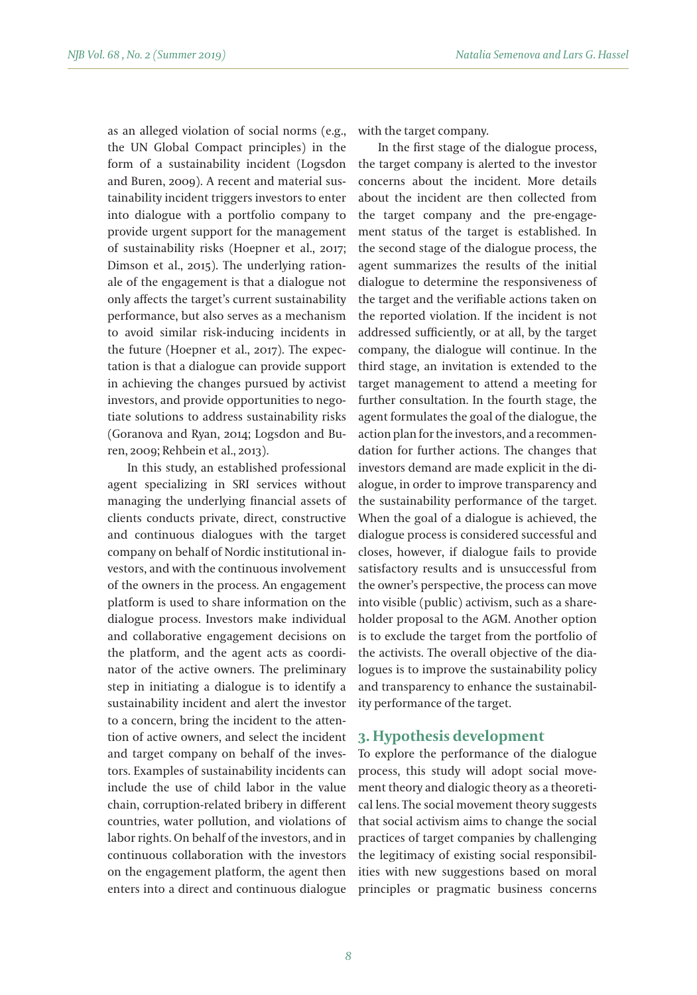as an alleged violation of social norms (e.g., the UN Global Compact principles) in the form of a sustainability incident (Logsdon and Buren, 2009). A recent and material sustainability incident triggers investors to enter into dialogue with a portfolio company to provide urgent support for the management of sustainability risks (Hoepner et al., 2017; Dimson et al., 2015). The underlying rationale of the engagement is that a dialogue not only affects the target's current sustainability performance, but also serves as a mechanism to avoid similar risk-inducing incidents in the future (Hoepner et al., 2017). The expectation is that a dialogue can provide support in achieving the changes pursued by activist investors, and provide opportunities to negotiate solutions to address sustainability risks (Goranova and Ryan, 2014; Logsdon and Buren, 2009; Rehbein et al., 2013).

In this study, an established professional agent specializing in SRI services without managing the underlying financial assets of clients conducts private, direct, constructive and continuous dialogues with the target company on behalf of Nordic institutional investors, and with the continuous involvement of the owners in the process. An engagement platform is used to share information on the dialogue process. Investors make individual and collaborative engagement decisions on the platform, and the agent acts as coordinator of the active owners. The preliminary step in initiating a dialogue is to identify a sustainability incident and alert the investor to a concern, bring the incident to the atention of active owners, and select the incident and target company on behalf of the investors. Examples of sustainability incidents can include the use of child labor in the value chain, corruption-related bribery in different countries, water pollution, and violations of labor rights. On behalf of the investors, and in continuous collaboration with the investors on the engagement platform, the agent then enters into a direct and continuous dialogue

with the target company.

In the first stage of the dialogue process, the target company is alerted to the investor concerns about the incident. More details about the incident are then collected from the target company and the pre-engagement status of the target is established. In the second stage of the dialogue process, the agent summarizes the results of the initial dialogue to determine the responsiveness of the target and the verifiable actions taken on the reported violation. If the incident is not addressed sufficiently, or at all, by the target company, the dialogue will continue. In the third stage, an invitation is extended to the target management to attend a meeting for further consultation. In the fourth stage, the agent formulates the goal of the dialogue, the action plan for the investors, and a recommendation for further actions. The changes that investors demand are made explicit in the dialogue, in order to improve transparency and the sustainability performance of the target. When the goal of a dialogue is achieved, the dialogue process is considered successful and closes, however, if dialogue fails to provide satisfactory results and is unsuccessful from the owner's perspective, the process can move into visible (public) activism, such as a shareholder proposal to the AGM. Another option is to exclude the target from the portfolio of the activists. The overall objective of the dialogues is to improve the sustainability policy and transparency to enhance the sustainability performance of the target.

## **3. Hypothesis development**

To explore the performance of the dialogue process, this study will adopt social movement theory and dialogic theory as a theoretical lens. The social movement theory suggests that social activism aims to change the social practices of target companies by challenging the legitimacy of existing social responsibilities with new suggestions based on moral principles or pragmatic business concerns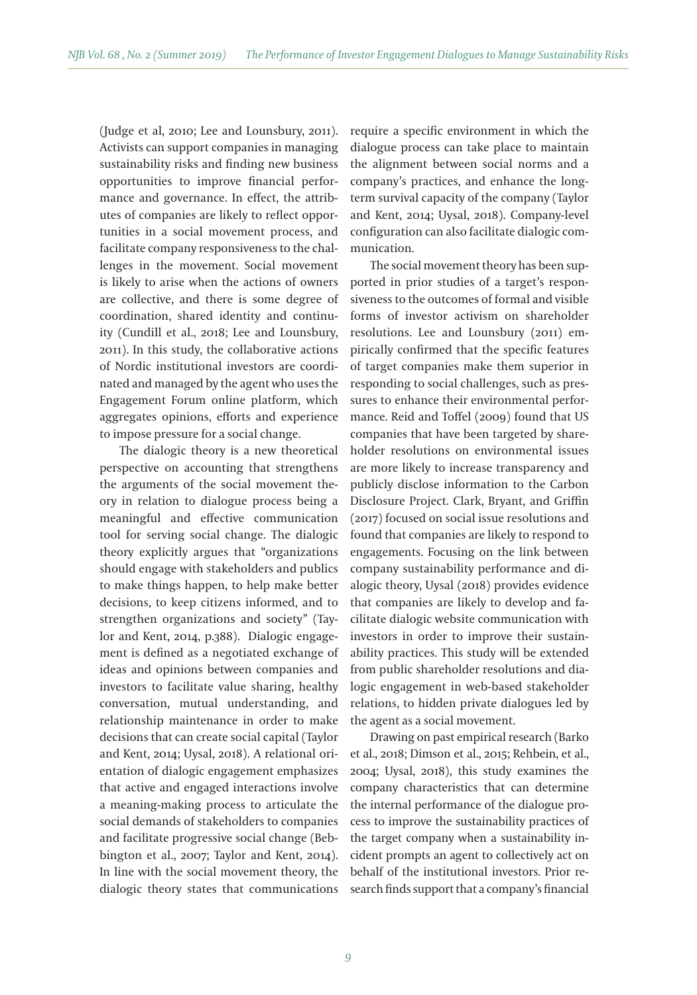(Judge et al, 2010; Lee and Lounsbury, 2011). Activists can support companies in managing sustainability risks and finding new business opportunities to improve financial performance and governance. In effect, the atributes of companies are likely to reflect opportunities in a social movement process, and facilitate company responsiveness to the challenges in the movement. Social movement is likely to arise when the actions of owners are collective, and there is some degree of coordination, shared identity and continuity (Cundill et al., 2018; Lee and Lounsbury, 2011). In this study, the collaborative actions of Nordic institutional investors are coordinated and managed by the agent who uses the Engagement Forum online platform, which aggregates opinions, efforts and experience to impose pressure for a social change.

The dialogic theory is a new theoretical perspective on accounting that strengthens the arguments of the social movement theory in relation to dialogue process being a meaningful and effective communication tool for serving social change. The dialogic theory explicitly argues that "organizations should engage with stakeholders and publics to make things happen, to help make beter decisions, to keep citizens informed, and to strengthen organizations and society" (Taylor and Kent, 2014, p.388). Dialogic engagement is defined as a negotiated exchange of ideas and opinions between companies and investors to facilitate value sharing, healthy conversation, mutual understanding, and relationship maintenance in order to make decisions that can create social capital (Taylor and Kent, 2014; Uysal, 2018). A relational orientation of dialogic engagement emphasizes that active and engaged interactions involve a meaning-making process to articulate the social demands of stakeholders to companies and facilitate progressive social change (Bebbington et al., 2007; Taylor and Kent, 2014). In line with the social movement theory, the dialogic theory states that communications

require a specific environment in which the dialogue process can take place to maintain the alignment between social norms and a company's practices, and enhance the longterm survival capacity of the company (Taylor and Kent, 2014; Uysal, 2018). Company-level configuration can also facilitate dialogic communication.

The social movement theory has been supported in prior studies of a target's responsiveness to the outcomes of formal and visible forms of investor activism on shareholder resolutions. Lee and Lounsbury (2011) empirically confirmed that the specific features of target companies make them superior in responding to social challenges, such as pressures to enhance their environmental performance. Reid and Toffel (2009) found that US companies that have been targeted by shareholder resolutions on environmental issues are more likely to increase transparency and publicly disclose information to the Carbon Disclosure Project. Clark, Bryant, and Griffin (2017) focused on social issue resolutions and found that companies are likely to respond to engagements. Focusing on the link between company sustainability performance and dialogic theory, Uysal (2018) provides evidence that companies are likely to develop and facilitate dialogic website communication with investors in order to improve their sustainability practices. This study will be extended from public shareholder resolutions and dialogic engagement in web-based stakeholder relations, to hidden private dialogues led by the agent as a social movement.

Drawing on past empirical research (Barko et al., 2018; Dimson et al., 2015; Rehbein, et al., 2004; Uysal, 2018), this study examines the company characteristics that can determine the internal performance of the dialogue process to improve the sustainability practices of the target company when a sustainability incident prompts an agent to collectively act on behalf of the institutional investors. Prior research finds support that a company's financial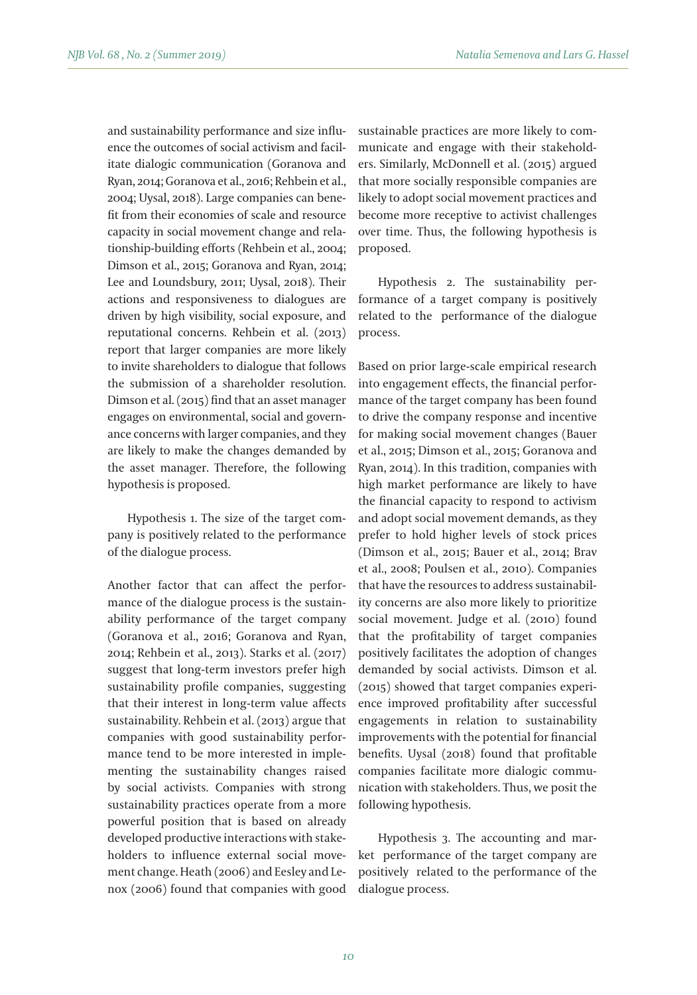and sustainability performance and size influence the outcomes of social activism and facilitate dialogic communication (Goranova and Ryan, 2014; Goranova et al., 2016; Rehbein et al., 2004; Uysal, 2018). Large companies can benefit from their economies of scale and resource capacity in social movement change and relationship-building efforts (Rehbein et al., 2004; Dimson et al., 2015; Goranova and Ryan, 2014; Lee and Loundsbury, 2011; Uysal, 2018). Their actions and responsiveness to dialogues are driven by high visibility, social exposure, and reputational concerns. Rehbein et al. (2013) report that larger companies are more likely to invite shareholders to dialogue that follows the submission of a shareholder resolution. Dimson et al. (2015) find that an asset manager engages on environmental, social and governance concerns with larger companies, and they are likely to make the changes demanded by the asset manager. Therefore, the following hypothesis is proposed.

Hypothesis 1. The size of the target company is positively related to the performance of the dialogue process.

Another factor that can affect the performance of the dialogue process is the sustainability performance of the target company (Goranova et al., 2016; Goranova and Ryan, 2014; Rehbein et al., 2013). Starks et al. (2017) suggest that long-term investors prefer high sustainability profile companies, suggesting that their interest in long-term value affects sustainability. Rehbein et al. (2013) argue that companies with good sustainability performance tend to be more interested in implementing the sustainability changes raised by social activists. Companies with strong sustainability practices operate from a more powerful position that is based on already developed productive interactions with stakeholders to influence external social movement change. Heath (2006) and Eesley and Lenox (2006) found that companies with good sustainable practices are more likely to communicate and engage with their stakeholders. Similarly, McDonnell et al. (2015) argued that more socially responsible companies are likely to adopt social movement practices and become more receptive to activist challenges over time. Thus, the following hypothesis is proposed.

Hypothesis 2. The sustainability performance of a target company is positively related to the performance of the dialogue process.

Based on prior large-scale empirical research into engagement effects, the financial performance of the target company has been found to drive the company response and incentive for making social movement changes (Bauer et al., 2015; Dimson et al., 2015; Goranova and Ryan, 2014). In this tradition, companies with high market performance are likely to have the financial capacity to respond to activism and adopt social movement demands, as they prefer to hold higher levels of stock prices (Dimson et al., 2015; Bauer et al., 2014; Brav et al., 2008; Poulsen et al., 2010). Companies that have the resources to address sustainability concerns are also more likely to prioritize social movement. Judge et al. (2010) found that the profitability of target companies positively facilitates the adoption of changes demanded by social activists. Dimson et al. (2015) showed that target companies experience improved profitability after successful engagements in relation to sustainability improvements with the potential for financial benefits. Uysal (2018) found that profitable companies facilitate more dialogic communication with stakeholders. Thus, we posit the following hypothesis.

Hypothesis 3. The accounting and market performance of the target company are positively related to the performance of the dialogue process.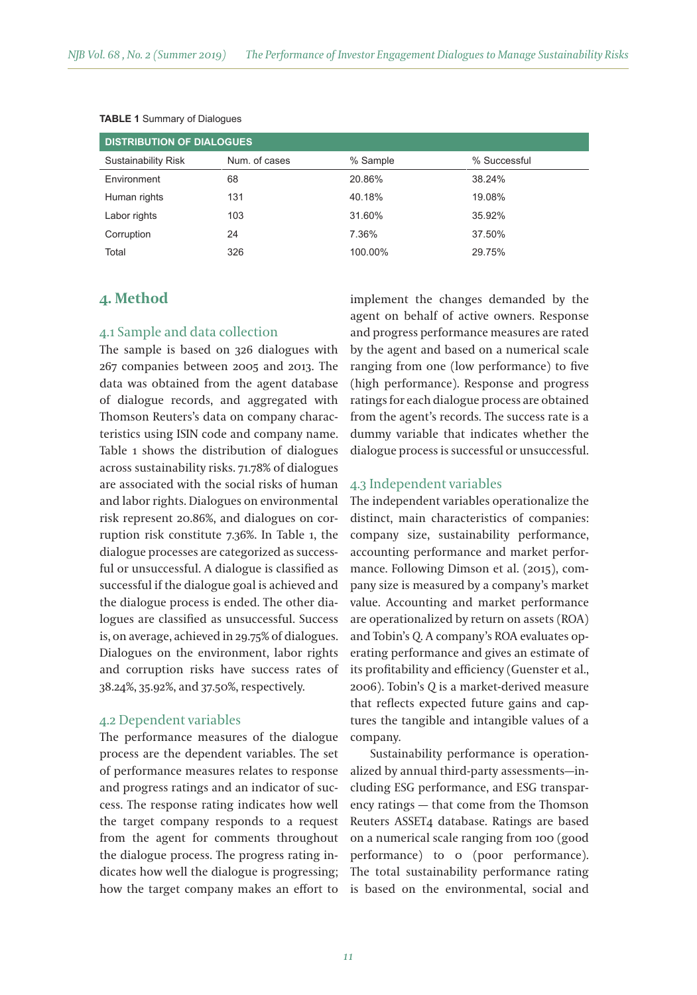| <b>DISTRIBUTION OF DIALOGUES</b> |               |          |              |  |  |
|----------------------------------|---------------|----------|--------------|--|--|
| <b>Sustainability Risk</b>       | Num. of cases | % Sample | % Successful |  |  |
| Environment                      | 68            | 20.86%   | 38.24%       |  |  |
| Human rights                     | 131           | 40.18%   | 19.08%       |  |  |
| Labor rights                     | 103           | 31.60%   | 35.92%       |  |  |
| Corruption                       | 24            | 7.36%    | 37.50%       |  |  |
| Total                            | 326           | 100.00%  | 29.75%       |  |  |

#### **TABLE 1** Summary of Dialogues

# **4. Method**

## 4.1 Sample and data collection

The sample is based on 326 dialogues with 267 companies between 2005 and 2013. The data was obtained from the agent database of dialogue records, and aggregated with Thomson Reuters's data on company characteristics using ISIN code and company name. Table 1 shows the distribution of dialogues across sustainability risks. 71.78% of dialogues are associated with the social risks of human and labor rights. Dialogues on environmental risk represent 20.86%, and dialogues on corruption risk constitute 7.36%. In Table 1, the dialogue processes are categorized as successful or unsuccessful. A dialogue is classified as successful if the dialogue goal is achieved and the dialogue process is ended. The other dialogues are classified as unsuccessful. Success is, on average, achieved in 29.75% of dialogues. Dialogues on the environment, labor rights and corruption risks have success rates of 38.24%, 35.92%, and 37.50%, respectively.

## 4.2 Dependent variables

The performance measures of the dialogue process are the dependent variables. The set of performance measures relates to response and progress ratings and an indicator of success. The response rating indicates how well the target company responds to a request from the agent for comments throughout the dialogue process. The progress rating indicates how well the dialogue is progressing; how the target company makes an effort to implement the changes demanded by the agent on behalf of active owners. Response and progress performance measures are rated by the agent and based on a numerical scale ranging from one (low performance) to five (high performance). Response and progress ratings for each dialogue process are obtained from the agent's records. The success rate is a dummy variable that indicates whether the dialogue process is successful or unsuccessful.

### 4.3 Independent variables

The independent variables operationalize the distinct, main characteristics of companies: company size, sustainability performance, accounting performance and market performance. Following Dimson et al. (2015), company size is measured by a company's market value. Accounting and market performance are operationalized by return on assets (ROA) and Tobin's *Q*. A company's ROA evaluates operating performance and gives an estimate of its profitability and efficiency (Guenster et al., 2006). Tobin's *Q* is a market-derived measure that reflects expected future gains and captures the tangible and intangible values of a company.

Sustainability performance is operationalized by annual third-party assessments—including ESG performance, and ESG transparency ratings — that come from the Thomson Reuters ASSET4 database. Ratings are based on a numerical scale ranging from 100 (good performance) to 0 (poor performance). The total sustainability performance rating is based on the environmental, social and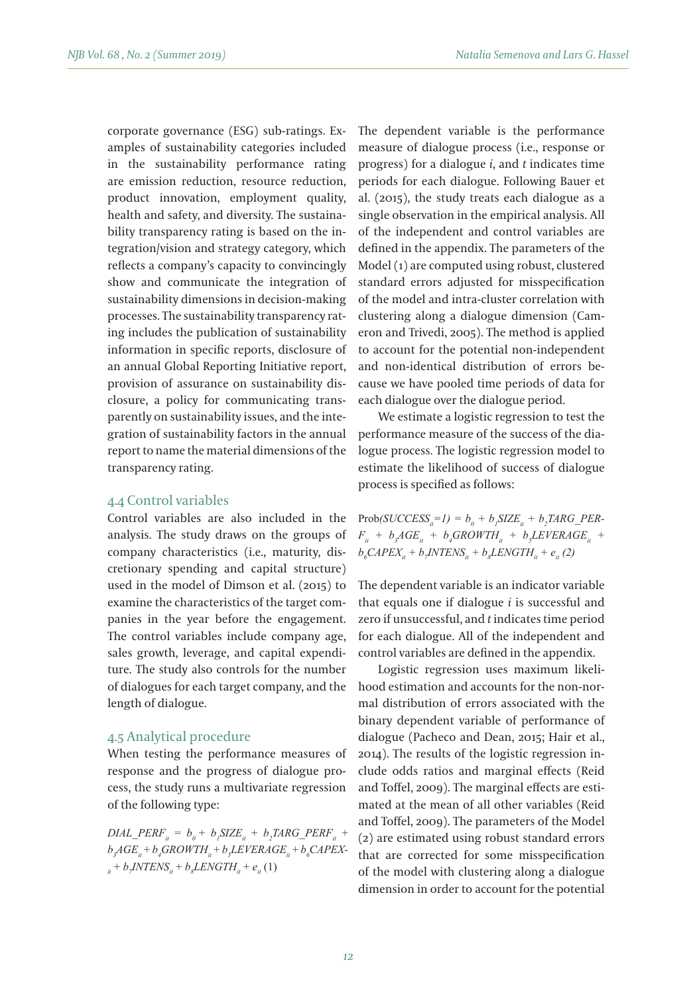corporate governance (ESG) sub-ratings. Examples of sustainability categories included in the sustainability performance rating are emission reduction, resource reduction, product innovation, employment quality, health and safety, and diversity. The sustainability transparency rating is based on the integration/vision and strategy category, which reflects a company's capacity to convincingly show and communicate the integration of sustainability dimensions in decision-making processes. The sustainability transparency rating includes the publication of sustainability information in specific reports, disclosure of an annual Global Reporting Initiative report, provision of assurance on sustainability disclosure, a policy for communicating transparently on sustainability issues, and the integration of sustainability factors in the annual report to name the material dimensions of the transparency rating.

## 4.4 Control variables

Control variables are also included in the analysis. The study draws on the groups of company characteristics (i.e., maturity, discretionary spending and capital structure) used in the model of Dimson et al. (2015) to examine the characteristics of the target companies in the year before the engagement. The control variables include company age, sales growth, leverage, and capital expenditure. The study also controls for the number of dialogues for each target company, and the length of dialogue.

## 4.5 Analytical procedure

When testing the performance measures of response and the progress of dialogue process, the study runs a multivariate regression of the following type:

 $DLAL\_PERF_{it} = b_0 + b_1 SIZE_{it} + b_2 LARGE\_PERF_{it} +$  $b_{\scriptscriptstyle{3}} A G E_{\scriptscriptstyle{ii}} + b_{\scriptscriptstyle{4}} G R O W T H_{\scriptscriptstyle{ii}} + b_{\scriptscriptstyle{5}} L E V E R A G E_{\scriptscriptstyle{ii}} + b_{\scriptscriptstyle{6}} C A P E X$  $b_{ij} + b_j INTENS_{it} + b_s LENGTH_{it} + e_{it}$  (1)

The dependent variable is the performance measure of dialogue process (i.e., response or progress) for a dialogue *i*, and *t* indicates time periods for each dialogue. Following Bauer et al. (2015), the study treats each dialogue as a single observation in the empirical analysis. All of the independent and control variables are defined in the appendix. The parameters of the Model (1) are computed using robust, clustered standard errors adjusted for misspecification of the model and intra-cluster correlation with clustering along a dialogue dimension (Cameron and Trivedi, 2005). The method is applied to account for the potential non-independent and non-identical distribution of errors because we have pooled time periods of data for each dialogue over the dialogue period.

We estimate a logistic regression to test the performance measure of the success of the dialogue process. The logistic regression model to estimate the likelihood of success of dialogue process is specified as follows:

 $Prob(SUCCESS_{ii} = 1) = b_0 + b_1 SIZE_{ii} + b_2 LARGE\_PER$  $F_{it} + b_{j} AGE_{it} + b_{j} GROWTH_{it} + b_{j} LEVERAGE_{it} +$  $b_{\delta}$ CAPEX<sub>it</sub> + b<sub>7</sub>INTENS<sub>it</sub> + b<sub>8</sub>LENGTH<sub>it</sub> + e<sub>it</sub>(2)

The dependent variable is an indicator variable that equals one if dialogue *i* is successful and zero if unsuccessful, and *t* indicates time period for each dialogue. All of the independent and control variables are defined in the appendix.

Logistic regression uses maximum likelihood estimation and accounts for the non-normal distribution of errors associated with the binary dependent variable of performance of dialogue (Pacheco and Dean, 2015; Hair et al., 2014). The results of the logistic regression include odds ratios and marginal effects (Reid and Toffel, 2009). The marginal effects are estimated at the mean of all other variables (Reid and Toffel, 2009). The parameters of the Model (2) are estimated using robust standard errors that are corrected for some misspecification of the model with clustering along a dialogue dimension in order to account for the potential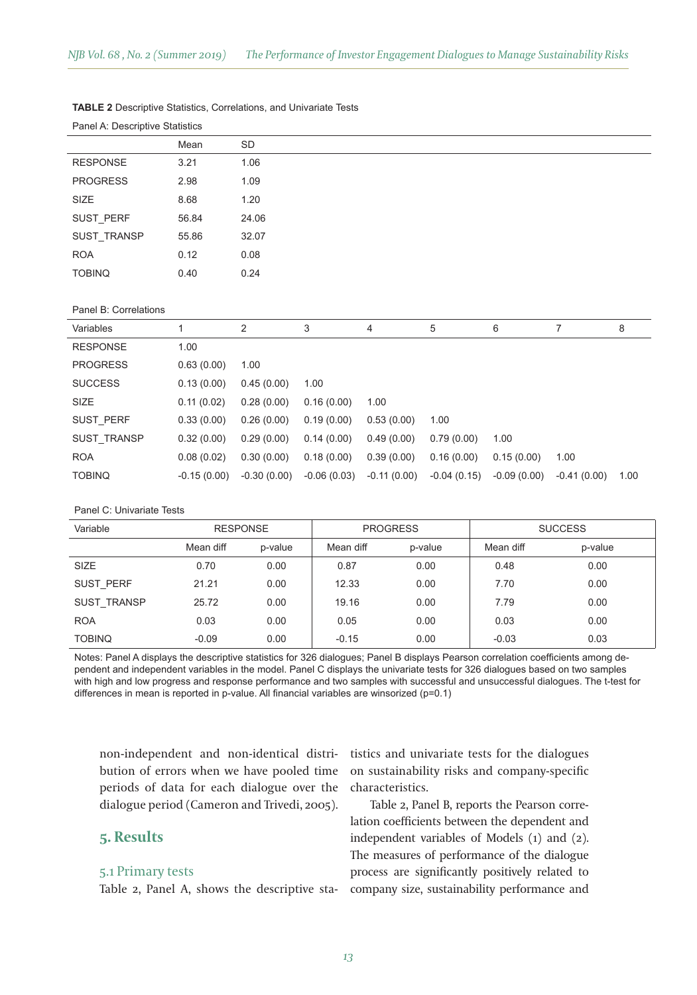#### **TABLE 2** Descriptive Statistics, Correlations, and Univariate Tests

|                  | Mean  | SD    |
|------------------|-------|-------|
| <b>RESPONSE</b>  | 3.21  | 1.06  |
| <b>PROGRESS</b>  | 2.98  | 1.09  |
| SIZE             | 8.68  | 1.20  |
| <b>SUST PERF</b> | 56.84 | 24.06 |
| SUST TRANSP      | 55.86 | 32.07 |
| <b>ROA</b>       | 0.12  | 0.08  |
| <b>TOBINQ</b>    | 0.40  | 0.24  |
|                  |       |       |

Panel A: Descriptive Statistics

#### Panel B: Correlations

| Variables          |               | $\overline{2}$ | 3             | 4            | 5             | 6             |               | 8    |
|--------------------|---------------|----------------|---------------|--------------|---------------|---------------|---------------|------|
| <b>RESPONSE</b>    | 1.00          |                |               |              |               |               |               |      |
| <b>PROGRESS</b>    | 0.63(0.00)    | 1.00           |               |              |               |               |               |      |
| <b>SUCCESS</b>     | 0.13(0.00)    | 0.45(0.00)     | 1.00          |              |               |               |               |      |
| SIZE               | 0.11(0.02)    | 0.28(0.00)     | 0.16(0.00)    | 1.00         |               |               |               |      |
| SUST PERF          | 0.33(0.00)    | 0.26(0.00)     | 0.19(0.00)    | 0.53(0.00)   | 1.00          |               |               |      |
| <b>SUST TRANSP</b> | 0.32(0.00)    | 0.29(0.00)     | 0.14(0.00)    | 0.49(0.00)   | 0.79(0.00)    | 1.00          |               |      |
| <b>ROA</b>         | 0.08(0.02)    | 0.30(0.00)     | 0.18(0.00)    | 0.39(0.00)   | 0.16(0.00)    | 0.15(0.00)    | 1.00          |      |
| <b>TOBINQ</b>      | $-0.15(0.00)$ | $-0.30(0.00)$  | $-0.06(0.03)$ | -0.11 (0.00) | $-0.04(0.15)$ | $-0.09(0.00)$ | $-0.41(0.00)$ | 1.00 |

#### Panel C: Univariate Tests

| Variable           | <b>RESPONSE</b> |         | <b>PROGRESS</b> |         | <b>SUCCESS</b> |         |
|--------------------|-----------------|---------|-----------------|---------|----------------|---------|
|                    | Mean diff       | p-value | Mean diff       | p-value | Mean diff      | p-value |
| <b>SIZE</b>        | 0.70            | 0.00    | 0.87            | 0.00    | 0.48           | 0.00    |
| SUST PERF          | 21.21           | 0.00    | 12.33           | 0.00    | 7.70           | 0.00    |
| <b>SUST TRANSP</b> | 25.72           | 0.00    | 19.16           | 0.00    | 7.79           | 0.00    |
| <b>ROA</b>         | 0.03            | 0.00    | 0.05            | 0.00    | 0.03           | 0.00    |
| <b>TOBINQ</b>      | $-0.09$         | 0.00    | $-0.15$         | 0.00    | $-0.03$        | 0.03    |

Notes: Panel A displays the descriptive statistics for 326 dialogues; Panel B displays Pearson correlation coefficients among dependent and independent variables in the model. Panel C displays the univariate tests for 326 dialogues based on two samples with high and low progress and response performance and two samples with successful and unsuccessful dialogues. The t-test for differences in mean is reported in p-value. All fnancial variables are winsorized (p=0.1)

non-independent and non-identical distribution of errors when we have pooled time periods of data for each dialogue over the dialogue period (Cameron and Trivedi, 2005).

# **5. Results**

#### 5.1 Primary tests

Table 2, Panel A, shows the descriptive sta-

tistics and univariate tests for the dialogues on sustainability risks and company-specific characteristics.

Table 2, Panel B, reports the Pearson correlation coefficients between the dependent and independent variables of Models (1) and (2). The measures of performance of the dialogue process are significantly positively related to company size, sustainability performance and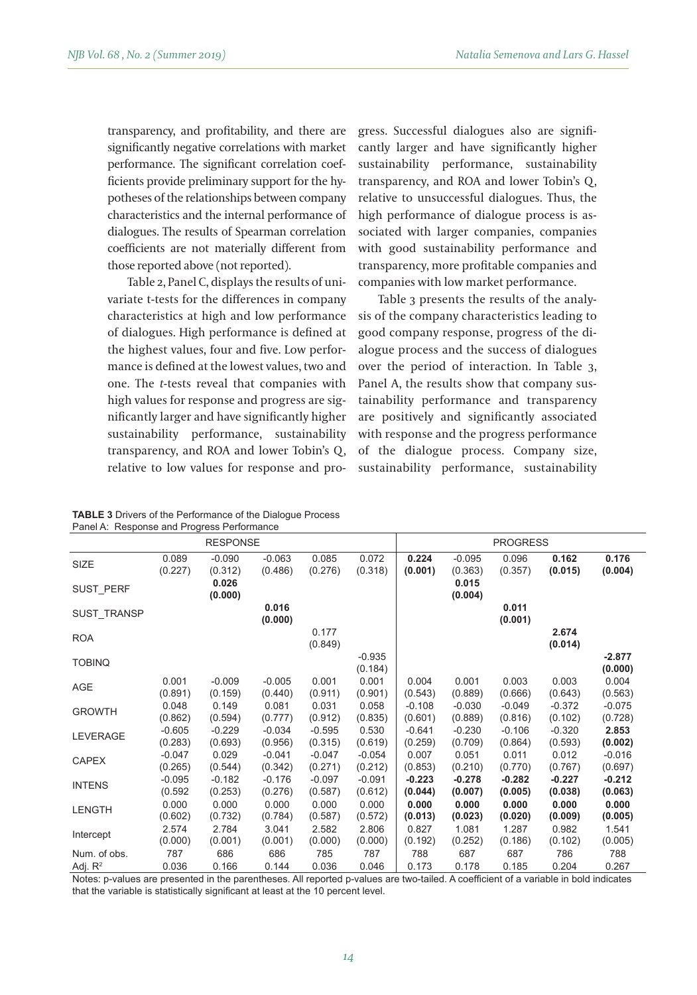transparency, and profitability, and there are significantly negative correlations with market performance. The significant correlation coefficients provide preliminary support for the hypotheses of the relationships between company characteristics and the internal performance of dialogues. The results of Spearman correlation coefficients are not materially different from those reported above (not reported).

Table 2, Panel C, displays the results of univariate t-tests for the differences in company characteristics at high and low performance of dialogues. High performance is defined at the highest values, four and five. Low performance is defined at the lowest values, two and one. The *t*-tests reveal that companies with high values for response and progress are significantly larger and have significantly higher sustainability performance, sustainability transparency, and ROA and lower Tobin's Q, relative to low values for response and progress. Successful dialogues also are significantly larger and have significantly higher sustainability performance, sustainability transparency, and ROA and lower Tobin's Q, relative to unsuccessful dialogues. Thus, the high performance of dialogue process is associated with larger companies, companies with good sustainability performance and transparency, more profitable companies and companies with low market performance.

Table 3 presents the results of the analysis of the company characteristics leading to good company response, progress of the dialogue process and the success of dialogues over the period of interaction. In Table 3, Panel A, the results show that company sustainability performance and transparency are positively and significantly associated with response and the progress performance of the dialogue process. Company size, sustainability performance, sustainability

| <b>TABLE 3</b> Drivers of the Performance of the Dialogue Process |  |
|-------------------------------------------------------------------|--|
| Panel A: Response and Progress Performance                        |  |

| <b>RESPONSE</b> |          |          |                                                                  |                     |          | <b>PROGRESS</b> |          |          |                     |
|-----------------|----------|----------|------------------------------------------------------------------|---------------------|----------|-----------------|----------|----------|---------------------|
| 0.089           | $-0.090$ | $-0.063$ | 0.085                                                            | 0.072               | 0.224    | $-0.095$        | 0.096    | 0.162    | 0.176               |
| (0.227)         | (0.312)  | (0.486)  | (0.276)                                                          | (0.318)             | (0.001)  | (0.363)         | (0.357)  | (0.015)  | (0.004)             |
|                 | (0.000)  |          |                                                                  |                     |          | (0.004)         |          |          |                     |
|                 |          | (0.000)  |                                                                  |                     |          |                 | (0.001)  |          |                     |
|                 |          |          | (0.849)                                                          |                     |          |                 |          | (0.014)  |                     |
|                 |          |          |                                                                  | $-0.935$<br>(0.184) |          |                 |          |          | $-2.877$<br>(0.000) |
| 0.001           | $-0.009$ | $-0.005$ | 0.001                                                            | 0.001               | 0.004    | 0.001           | 0.003    | 0.003    | 0.004               |
| (0.891)         | (0.159)  | (0.440)  | (0.911)                                                          | (0.901)             | (0.543)  | (0.889)         | (0.666)  | (0.643)  | (0.563)             |
| 0.048           | 0.149    | 0.081    | 0.031                                                            | 0.058               | $-0.108$ | $-0.030$        | $-0.049$ | $-0.372$ | $-0.075$            |
| (0.862)         | (0.594)  | (0.777)  | (0.912)                                                          | (0.835)             | (0.601)  | (0.889)         | (0.816)  | (0.102)  | (0.728)             |
| $-0.605$        | $-0.229$ | $-0.034$ | $-0.595$                                                         | 0.530               | $-0.641$ | $-0.230$        | $-0.106$ | $-0.320$ | 2.853               |
| (0.283)         | (0.693)  | (0.956)  | (0.315)                                                          | (0.619)             | (0.259)  | (0.709)         | (0.864)  | (0.593)  | (0.002)             |
| $-0.047$        | 0.029    | $-0.041$ | $-0.047$                                                         | $-0.054$            | 0.007    | 0.051           | 0.011    | 0.012    | $-0.016$            |
| (0.265)         | (0.544)  | (0.342)  | (0.271)                                                          | (0.212)             | (0.853)  | (0.210)         | (0.770)  | (0.767)  | (0.697)             |
| $-0.095$        | $-0.182$ | $-0.176$ | $-0.097$                                                         | $-0.091$            | $-0.223$ | $-0.278$        | $-0.282$ | $-0.227$ | $-0.212$            |
| (0.592)         | (0.253)  | (0.276)  | (0.587)                                                          | (0.612)             | (0.044)  | (0.007)         | (0.005)  | (0.038)  | (0.063)             |
| 0.000           | 0.000    | 0.000    | 0.000                                                            | 0.000               | 0.000    | 0.000           | 0.000    | 0.000    | 0.000               |
| (0.602)         | (0.732)  | (0.784)  | (0.587)                                                          | (0.572)             | (0.013)  | (0.023)         | (0.020)  | (0.009)  | (0.005)             |
| 2.574           | 2.784    | 3.041    | 2.582                                                            | 2.806               | 0.827    | 1.081           | 1.287    | 0.982    | 1.541               |
| (0.000)         | (0.001)  | (0.001)  | (0.000)                                                          | (0.000)             | (0.192)  | (0.252)         | (0.186)  | (0.102)  | (0.005)             |
| 787             | 686      | 686      | 785                                                              | 787                 | 788      | 687             | 687      | 786      | 788                 |
| 0.036           | 0.166    | 0.144    | 0.036                                                            | 0.046               | 0.173    | 0.178           | 0.185    | 0.204    | 0.267               |
|                 |          | 0.026    | Pariel A. Response and Progress Perionnance<br>0.016<br>$\cdots$ | 0.177<br>$\sim$     |          |                 | 0.015    | 0.011    | 2.674<br>.          |

Notes: p-values are presented in the parentheses. All reported p-values are two-tailed. A coefficient of a variable in bold indicates that the variable is statistically signifcant at least at the 10 percent level.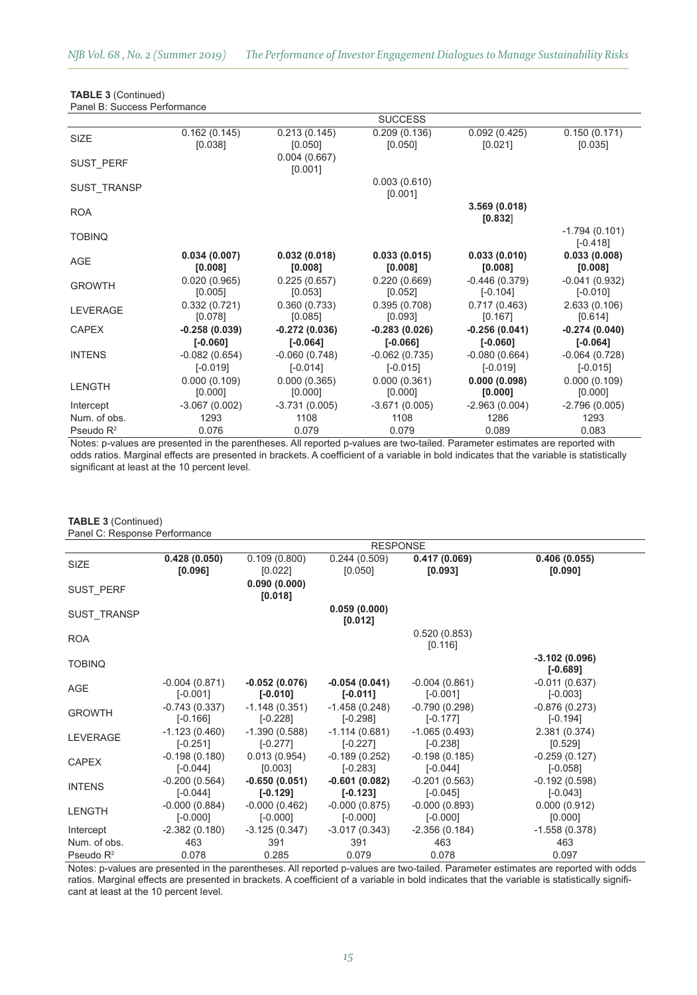|                    |                         |                         | <b>SUCCESS</b>          |                               |                               |
|--------------------|-------------------------|-------------------------|-------------------------|-------------------------------|-------------------------------|
| SIZE               | 0.162(0.145)<br>[0.038] | 0.213(0.145)<br>[0.050] | 0.209(0.136)<br>[0.050] | 0.092(0.425)<br>[0.021]       | 0.150(0.171)<br>[0.035]       |
| <b>SUST PERF</b>   |                         | 0.004(0.667)<br>[0.001] |                         |                               |                               |
| <b>SUST TRANSP</b> |                         |                         | 0.003(0.610)<br>[0.001] |                               |                               |
| <b>ROA</b>         |                         |                         |                         | 3.569(0.018)<br>[0.832]       |                               |
| <b>TOBINQ</b>      |                         |                         |                         |                               | $-1.794(0.101)$<br>$[-0.418]$ |
| AGE                | 0.034(0.007)<br>[0.008] | 0.032(0.018)<br>[0.008] | 0.033(0.015)<br>[0.008] | 0.033(0.010)<br>[0.008]       | 0.033(0.008)<br>[0.008]       |
| <b>GROWTH</b>      | 0.020(0.965)<br>[0.005] | 0.225(0.657)<br>[0.053] | 0.220(0.669)<br>[0.052] | $-0.446(0.379)$<br>$[-0.104]$ | $-0.041(0.932)$<br>$[-0.010]$ |
| <b>LEVERAGE</b>    | 0.332(0.721)<br>[0.078] | 0.360(0.733)<br>[0.085] | 0.395(0.708)<br>[0.093] | 0.717(0.463)<br>[0.167]       | 2.633(0.106)<br>[0.614]       |
| <b>CAPEX</b>       | $-0.258(0.039)$         | $-0.272(0.036)$         | -0.283 (0.026)          | $-0.256(0.041)$               | $-0.274(0.040)$               |
|                    | $[ -0.060]$             | $[-0.064]$              | $[-0.066]$              | $[ -0.060]$                   | $[-0.064]$                    |
| <b>INTENS</b>      | $-0.082(0.654)$         | $-0.060(0.748)$         | $-0.062(0.735)$         | $-0.080(0.664)$               | $-0.064(0.728)$               |
|                    | $[-0.019]$              | $[-0.014]$              | $[-0.015]$              | $[-0.019]$                    | $[-0.015]$                    |
| <b>LENGTH</b>      | 0.000(0.109)            | 0.000(0.365)            | 0.000(0.361)            | 0.000(0.098)                  | 0.000(0.109)                  |
|                    | [0.000]                 | [0.000]                 | [0.000]                 | [0.000]                       | [0.000]                       |
| Intercept          | $-3.067(0.002)$         | $-3.731(0.005)$         | $-3.671(0.005)$         | $-2.963(0.004)$               | $-2.796(0.005)$               |
| Num. of obs.       | 1293                    | 1108                    | 1108                    | 1286                          | 1293                          |
| Pseudo $R^2$       | 0.076                   | 0.079                   | 0.079                   | 0.089                         | 0.083                         |
|                    |                         |                         |                         |                               |                               |

**TABLE 3** (Continued) Panel B: Success Performance

Notes: p-values are presented in the parentheses. All reported p-values are two-tailed. Parameter estimates are reported with odds ratios. Marginal effects are presented in brackets. A coefficient of a variable in bold indicates that the variable is statistically significant at least at the 10 percent level.

## **TABLE 3** (Continued)

|  |  | Panel C: Response Performance |
|--|--|-------------------------------|
|--|--|-------------------------------|

|                  |                               |                               | <b>RESPONSE</b>               |                               |                               |
|------------------|-------------------------------|-------------------------------|-------------------------------|-------------------------------|-------------------------------|
| SIZE             | 0.428(0.050)<br>[0.096]       | 0.109(0.800)<br>[0.022]       | 0.244(0.509)<br>[0.050]       | 0.417(0.069)<br>[0.093]       | 0.406(0.055)<br>[0.090]       |
| <b>SUST PERF</b> |                               | 0.090(0.000)<br>[0.018]       |                               |                               |                               |
| SUST TRANSP      |                               |                               | 0.059(0.000)<br>[0.012]       |                               |                               |
| <b>ROA</b>       |                               |                               |                               | 0.520(0.853)<br>[0.116]       |                               |
| <b>TOBINQ</b>    |                               |                               |                               |                               | $-3.102(0.096)$<br>$[-0.689]$ |
| AGE              | $-0.004(0.871)$<br>$[-0.001]$ | $-0.052(0.076)$<br>$[-0.010]$ | $-0.054(0.041)$<br>$[-0.011]$ | $-0.004(0.861)$<br>$[-0.001]$ | $-0.011(0.637)$<br>$[-0.003]$ |
| <b>GROWTH</b>    | $-0.743(0.337)$<br>$[-0.166]$ | $-1.148(0.351)$<br>$[-0.228]$ | $-1.458(0.248)$<br>$[-0.298]$ | $-0.790(0.298)$<br>$[-0.177]$ | $-0.876(0.273)$<br>$[-0.194]$ |
| <b>LEVERAGE</b>  | $-1.123(0.460)$<br>$[-0.251]$ | $-1.390(0.588)$<br>$[-0.277]$ | $-1.114(0.681)$<br>$[-0.227]$ | $-1.065(0.493)$<br>$[-0.238]$ | 2.381 (0.374)<br>[0.529]      |
| <b>CAPEX</b>     | $-0.198(0.180)$<br>$[-0.044]$ | 0.013(0.954)<br>[0.003]       | $-0.189(0.252)$<br>$[-0.283]$ | $-0.198(0.185)$<br>$[-0.044]$ | $-0.259(0.127)$<br>$[-0.058]$ |
| <b>INTENS</b>    | $-0.200(0.564)$<br>$[-0.044]$ | $-0.650(0.051)$<br>$[-0.129]$ | $-0.601(0.082)$<br>$[-0.123]$ | $-0.201(0.563)$<br>$[-0.045]$ | $-0.192(0.598)$<br>$[-0.043]$ |
| <b>LENGTH</b>    | $-0.000(0.884)$<br>$[-0.000]$ | $-0.000(0.462)$<br>$[-0.000]$ | $-0.000(0.875)$<br>$[-0.000]$ | $-0.000(0.893)$<br>$[-0.000]$ | 0.000(0.912)<br>[0.000]       |
| Intercept        | $-2.382(0.180)$               | $-3.125(0.347)$               | $-3.017(0.343)$               | $-2.356(0.184)$               | $-1.558(0.378)$               |
| Num. of obs.     | 463                           | 391                           | 391                           | 463                           | 463                           |
| Pseudo $R^2$     | 0.078                         | 0.285                         | 0.079                         | 0.078                         | 0.097                         |

Notes: p-values are presented in the parentheses. All reported p-values are two-tailed. Parameter estimates are reported with odds ratios. Marginal effects are presented in brackets. A coefficient of a variable in bold indicates that the variable is statistically significant at least at the 10 percent level.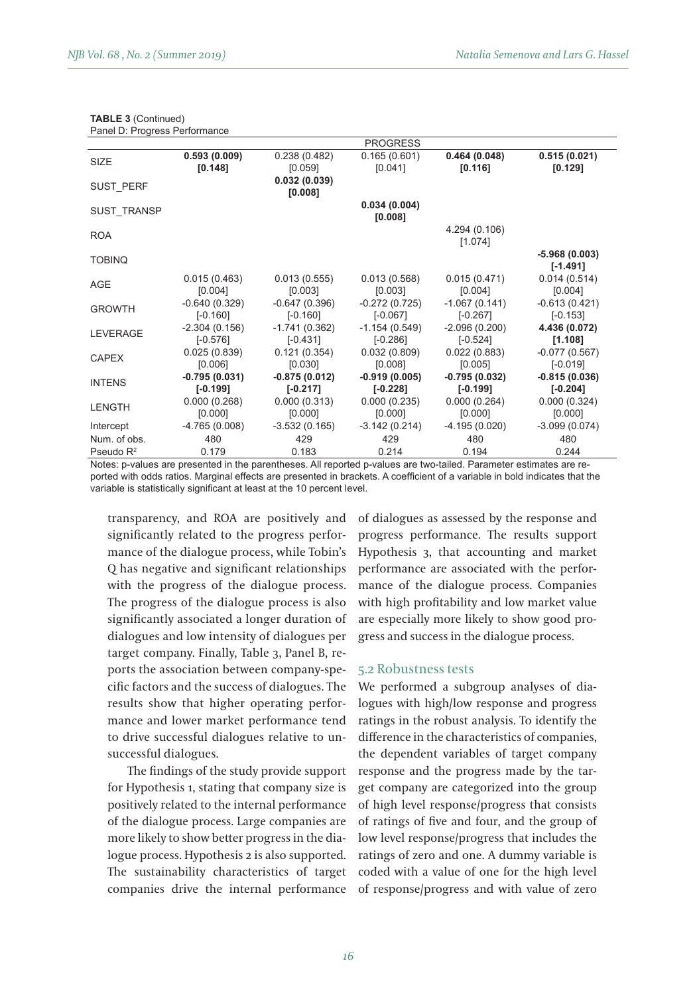|                    |                               |                               | <b>PROGRESS</b>               |                               |                               |
|--------------------|-------------------------------|-------------------------------|-------------------------------|-------------------------------|-------------------------------|
| SIZE               | 0.593(0.009)<br>[0.148]       | 0.238(0.482)<br>[0.059]       | 0.165(0.601)<br>[0.041]       | 0.464(0.048)<br>[0.116]       | 0.515(0.021)<br>[0.129]       |
| <b>SUST PERF</b>   |                               | 0.032(0.039)<br>[0.008]       |                               |                               |                               |
| <b>SUST TRANSP</b> |                               |                               | 0.034(0.004)<br>[0.008]       |                               |                               |
| <b>ROA</b>         |                               |                               |                               | 4.294 (0.106)<br>[1.074]      |                               |
| <b>TOBINQ</b>      |                               |                               |                               |                               | $-5.968(0.003)$<br>$[-1.491]$ |
| AGE                | 0.015(0.463)<br>[0.004]       | 0.013(0.555)<br>[0.003]       | 0.013(0.568)<br>[0.003]       | 0.015(0.471)<br>[0.004]       | 0.014(0.514)<br>[0.004]       |
| <b>GROWTH</b>      | $-0.640(0.329)$<br>$[-0.160]$ | $-0.647(0.396)$<br>$[-0.160]$ | $-0.272(0.725)$<br>$[-0.067]$ | $-1.067(0.141)$<br>$[-0.267]$ | $-0.613(0.421)$<br>$[-0.153]$ |
| <b>LEVERAGE</b>    | $-2.304(0.156)$<br>$[-0.576]$ | $-1.741(0.362)$<br>$[-0.431]$ | $-1.154(0.549)$<br>$[-0.286]$ | $-2.096(0.200)$<br>$[-0.524]$ | 4.436 (0.072)<br>[1.108]      |
| <b>CAPEX</b>       | 0.025(0.839)<br>[0.006]       | 0.121(0.354)<br>[0.030]       | 0.032(0.809)<br>[0.008]       | 0.022(0.883)<br>[0.005]       | $-0.077(0.567)$<br>$[-0.019]$ |
| <b>INTENS</b>      | $-0.795(0.031)$<br>$[-0.199]$ | $-0.875(0.012)$<br>$[-0.217]$ | $-0.919(0.005)$<br>$[-0.228]$ | $-0.795(0.032)$<br>$[-0.199]$ | $-0.815(0.036)$<br>$[-0.204]$ |
| <b>LENGTH</b>      | 0.000(0.268)<br>[0.000]       | 0.000(0.313)<br>[0.000]       | 0.000(0.235)<br>[0.000]       | 0.000(0.264)<br>[0.000]       | 0.000(0.324)<br>[0.000]       |
| Intercept          | $-4.765(0.008)$               | $-3.532(0.165)$               | $-3.142(0.214)$               | $-4.195(0.020)$               | $-3.099(0.074)$               |
| Num. of obs.       | 480                           | 429                           | 429                           | 480                           | 480                           |
| Pseudo $R^2$       | 0.179                         | 0.183                         | 0.214                         | 0.194                         | 0.244                         |

| <b>TABLE 3 (Continued)</b>    |
|-------------------------------|
| Panel D: Progress Performance |

Notes: p-values are presented in the parentheses. All reported p-values are two-tailed. Parameter estimates are reported with odds ratios. Marginal effects are presented in brackets. A coefficient of a variable in bold indicates that the variable is statistically signifcant at least at the 10 percent level.

transparency, and ROA are positively and significantly related to the progress performance of the dialogue process, while Tobin's Q has negative and significant relationships with the progress of the dialogue process. The progress of the dialogue process is also significantly associated a longer duration of dialogues and low intensity of dialogues per target company. Finally, Table 3, Panel B, reports the association between company-specific factors and the success of dialogues. The results show that higher operating performance and lower market performance tend to drive successful dialogues relative to unsuccessful dialogues.

The findings of the study provide support for Hypothesis 1, stating that company size is positively related to the internal performance of the dialogue process. Large companies are more likely to show better progress in the dialogue process. Hypothesis 2 is also supported. The sustainability characteristics of target companies drive the internal performance of dialogues as assessed by the response and progress performance. The results support Hypothesis 3, that accounting and market performance are associated with the performance of the dialogue process. Companies with high profitability and low market value are especially more likely to show good progress and success in the dialogue process.

#### 5.2 Robustness tests

We performed a subgroup analyses of dialogues with high/low response and progress ratings in the robust analysis. To identify the difference in the characteristics of companies, the dependent variables of target company response and the progress made by the target company are categorized into the group of high level response/progress that consists of ratings of five and four, and the group of low level response/progress that includes the ratings of zero and one. A dummy variable is coded with a value of one for the high level of response/progress and with value of zero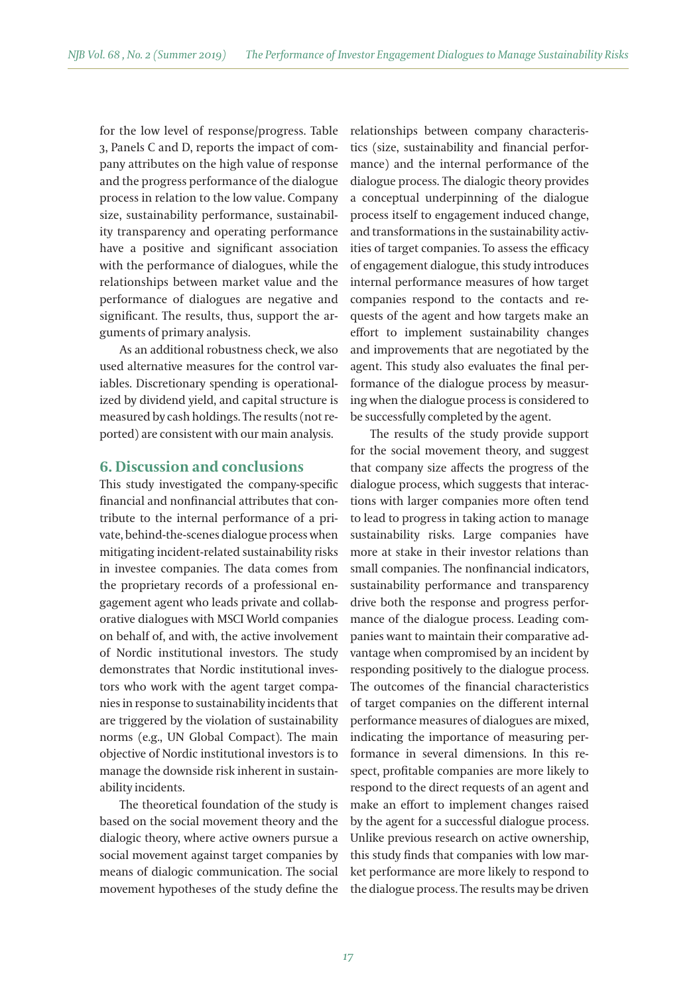for the low level of response/progress. Table 3, Panels C and D, reports the impact of company atributes on the high value of response and the progress performance of the dialogue process in relation to the low value. Company size, sustainability performance, sustainability transparency and operating performance have a positive and significant association with the performance of dialogues, while the relationships between market value and the performance of dialogues are negative and significant. The results, thus, support the arguments of primary analysis.

As an additional robustness check, we also used alternative measures for the control variables. Discretionary spending is operationalized by dividend yield, and capital structure is measured by cash holdings. The results (not reported) are consistent with our main analysis.

## **6. Discussion and conclusions**

This study investigated the company-specific financial and nonfinancial atributes that contribute to the internal performance of a private, behind-the-scenes dialogue process when mitigating incident-related sustainability risks in investee companies. The data comes from the proprietary records of a professional engagement agent who leads private and collaborative dialogues with MSCI World companies on behalf of, and with, the active involvement of Nordic institutional investors. The study demonstrates that Nordic institutional investors who work with the agent target companies in response to sustainability incidents that are triggered by the violation of sustainability norms (e.g., UN Global Compact). The main objective of Nordic institutional investors is to manage the downside risk inherent in sustainability incidents.

The theoretical foundation of the study is based on the social movement theory and the dialogic theory, where active owners pursue a social movement against target companies by means of dialogic communication. The social movement hypotheses of the study define the relationships between company characteristics (size, sustainability and financial performance) and the internal performance of the dialogue process. The dialogic theory provides a conceptual underpinning of the dialogue process itself to engagement induced change, and transformations in the sustainability activities of target companies. To assess the efficacy of engagement dialogue, this study introduces internal performance measures of how target companies respond to the contacts and requests of the agent and how targets make an effort to implement sustainability changes and improvements that are negotiated by the agent. This study also evaluates the final performance of the dialogue process by measuring when the dialogue process is considered to be successfully completed by the agent.

The results of the study provide support for the social movement theory, and suggest that company size affects the progress of the dialogue process, which suggests that interactions with larger companies more often tend to lead to progress in taking action to manage sustainability risks. Large companies have more at stake in their investor relations than small companies. The nonfinancial indicators, sustainability performance and transparency drive both the response and progress performance of the dialogue process. Leading companies want to maintain their comparative advantage when compromised by an incident by responding positively to the dialogue process. The outcomes of the financial characteristics of target companies on the different internal performance measures of dialogues are mixed, indicating the importance of measuring performance in several dimensions. In this respect, profitable companies are more likely to respond to the direct requests of an agent and make an effort to implement changes raised by the agent for a successful dialogue process. Unlike previous research on active ownership, this study finds that companies with low market performance are more likely to respond to the dialogue process. The results may be driven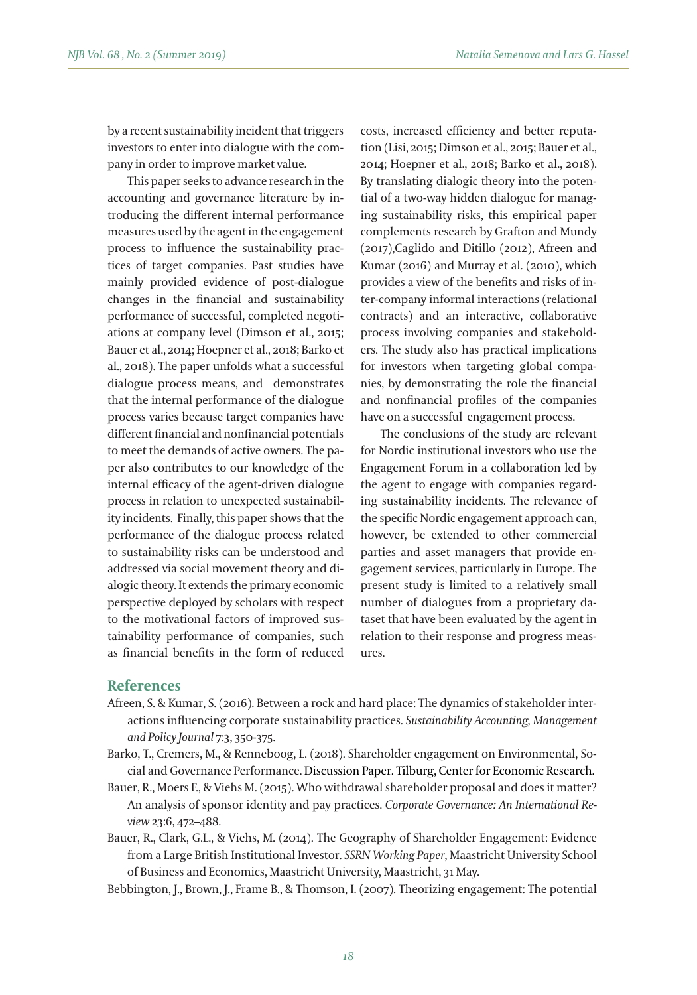by a recent sustainability incident that triggers investors to enter into dialogue with the company in order to improve market value.

This paper seeks to advance research in the accounting and governance literature by introducing the different internal performance measures used by the agent in the engagement process to influence the sustainability practices of target companies. Past studies have mainly provided evidence of post-dialogue changes in the financial and sustainability performance of successful, completed negotiations at company level (Dimson et al., 2015; Bauer et al., 2014; Hoepner et al., 2018; Barko et al., 2018). The paper unfolds what a successful dialogue process means, and demonstrates that the internal performance of the dialogue process varies because target companies have different financial and nonfinancial potentials to meet the demands of active owners. The paper also contributes to our knowledge of the internal efficacy of the agent-driven dialogue process in relation to unexpected sustainability incidents. Finally, this paper shows that the performance of the dialogue process related to sustainability risks can be understood and addressed via social movement theory and dialogic theory. It extends the primary economic perspective deployed by scholars with respect to the motivational factors of improved sustainability performance of companies, such as financial benefits in the form of reduced costs, increased efficiency and better reputation (Lisi, 2015; Dimson et al., 2015; Bauer et al., 2014; Hoepner et al., 2018; Barko et al., 2018). By translating dialogic theory into the potential of a two-way hidden dialogue for managing sustainability risks, this empirical paper complements research by Grafton and Mundy (2017),Caglido and Ditillo (2012), Afreen and Kumar (2016) and Murray et al. (2010), which provides a view of the benefits and risks of inter-company informal interactions (relational contracts) and an interactive, collaborative process involving companies and stakeholders. The study also has practical implications for investors when targeting global companies, by demonstrating the role the financial and nonfinancial profiles of the companies have on a successful engagement process.

The conclusions of the study are relevant for Nordic institutional investors who use the Engagement Forum in a collaboration led by the agent to engage with companies regarding sustainability incidents. The relevance of the specific Nordic engagement approach can, however, be extended to other commercial parties and asset managers that provide engagement services, particularly in Europe. The present study is limited to a relatively small number of dialogues from a proprietary dataset that have been evaluated by the agent in relation to their response and progress measures.

## **References**

- Afreen, S. & Kumar, S. (2016). Between a rock and hard place: The dynamics of stakeholder interactions influencing corporate sustainability practices. *Sustainability Accounting, Management and Policy Journal* 7:3, 350-375.
- Barko, T., Cremers, M., & Renneboog, L. (2018). Shareholder engagement on Environmental, Social and Governance Performance. Discussion Paper. Tilburg, Center for Economic Research.
- Bauer, R., Moers F., & Viehs M. (2015). Who withdrawal shareholder proposal and does it mater? An analysis of sponsor identity and pay practices. *Corporate Governance: An International Review* 23:6, 472–488.
- Bauer, R., Clark, G.L., & Viehs, M. (2014). The Geography of Shareholder Engagement: Evidence from a Large British Institutional Investor. *SSRN Working Paper*, Maastricht University School of Business and Economics, Maastricht University, Maastricht, 31 May.

Bebbington, J., Brown, J., Frame B., & Thomson, I. (2007). Theorizing engagement: The potential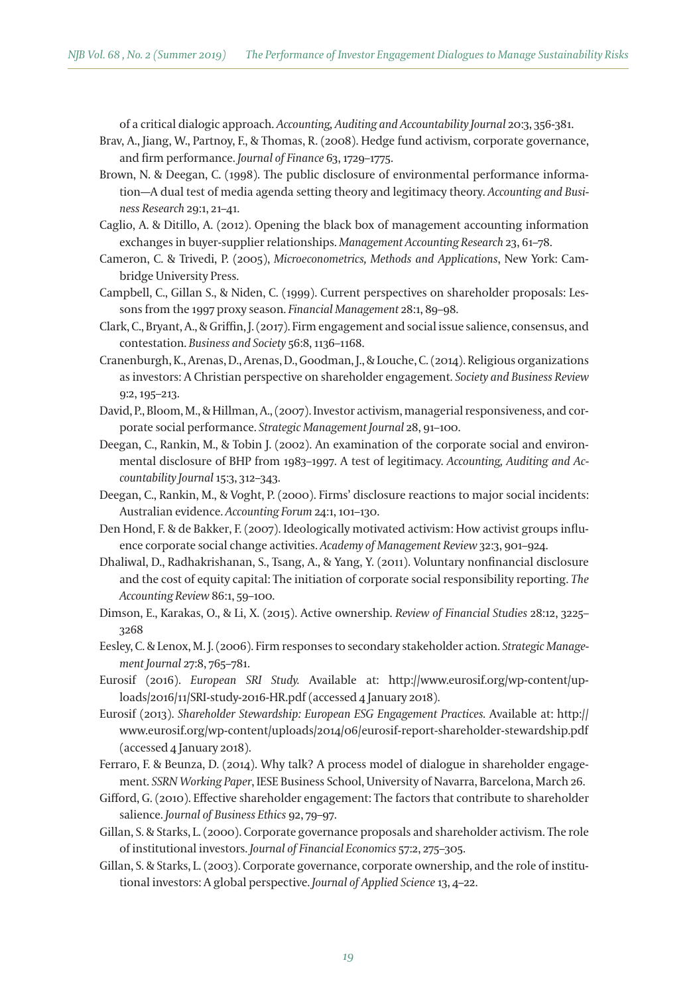of a critical dialogic approach. *Accounting, Auditing and Accountability Journal* 20:3, 356-381.

- Brav, A., Jiang, W., Partnoy, F., & Thomas, R. (2008). Hedge fund activism, corporate governance, and firm performance. *Journal of Finance* 63, 1729–1775.
- Brown, N. & Deegan, C. (1998). The public disclosure of environmental performance information—A dual test of media agenda seting theory and legitimacy theory. *Accounting and Business Research* 29:1, 21–41.
- Caglio, A. & Ditillo, A. (2012). Opening the black box of management accounting information exchanges in buyer-supplier relationships. *Management Accounting Research* 23, 61–78.
- Cameron, C. & Trivedi, P. (2005), *Microeconometrics, Methods and Applications*, New York: Cambridge University Press.
- Campbell, C., Gillan S., & Niden, C. (1999). Current perspectives on shareholder proposals: Lessons from the 1997 proxy season. *Financial Management* 28:1, 89–98.
- Clark, C., Bryant, A., & Griffin, J. (2017). Firm engagement and social issue salience, consensus, and contestation. *Business and Society* 56:8, 1136–1168.
- Cranenburgh, K., Arenas, D., Arenas, D., Goodman, J., & Louche, C. (2014). Religious organizations as investors: A Christian perspective on shareholder engagement. *Society and Business Review*  9:2, 195–213.
- David, P., Bloom, M., & Hillman, A., (2007). Investor activism, managerial responsiveness, and corporate social performance. *Strategic Management Journal* 28, 91–100.
- Deegan, C., Rankin, M., & Tobin J. (2002). An examination of the corporate social and environmental disclosure of BHP from 1983–1997. A test of legitimacy. *Accounting, Auditing and Accountability Journal* 15:3, 312–343.
- Deegan, C., Rankin, M., & Voght, P. (2000). Firms' disclosure reactions to major social incidents: Australian evidence. *Accounting Forum* 24:1, 101–130.
- Den Hond, F. & de Bakker, F. (2007). Ideologically motivated activism: How activist groups influence corporate social change activities. *Academy of Management Review* 32:3, 901–924.
- Dhaliwal, D., Radhakrishanan, S., Tsang, A., & Yang, Y. (2011). Voluntary nonfinancial disclosure and the cost of equity capital: The initiation of corporate social responsibility reporting. *The Accounting Review* 86:1, 59–100.
- Dimson, E., Karakas, O., & Li, X. (2015). Active ownership. *Review of Financial Studies* 28:12, 3225– 3268
- Eesley, C. & Lenox, M. J. (2006). Firm responses to secondary stakeholder action. *Strategic Management Journal* 27:8, 765–781.
- Eurosif (2016). *European SRI Study.* Available at: htp://www.eurosif.org/wp-content/uploads/2016/11/SRI-study-2016-HR.pdf (accessed 4 January 2018).
- Eurosif (2013). *Shareholder Stewardship: European ESG Engagement Practices.* Available at: htp:// www.eurosif.org/wp-content/uploads/2014/06/eurosif-report-shareholder-stewardship.pdf (accessed 4 January 2018).
- Ferraro, F. & Beunza, D. (2014). Why talk? A process model of dialogue in shareholder engagement. *SSRN Working Paper*, IESE Business School, University of Navarra, Barcelona, March 26.
- Gifford, G. (2010). Effective shareholder engagement: The factors that contribute to shareholder salience. *Journal of Business Ethics* 92, 79–97.
- Gillan, S. & Starks, L. (2000). Corporate governance proposals and shareholder activism. The role of institutional investors. *Journal of Financial Economics* 57:2, 275–305.
- Gillan, S. & Starks, L. (2003). Corporate governance, corporate ownership, and the role of institutional investors: A global perspective. *Journal of Applied Science* 13, 4–22.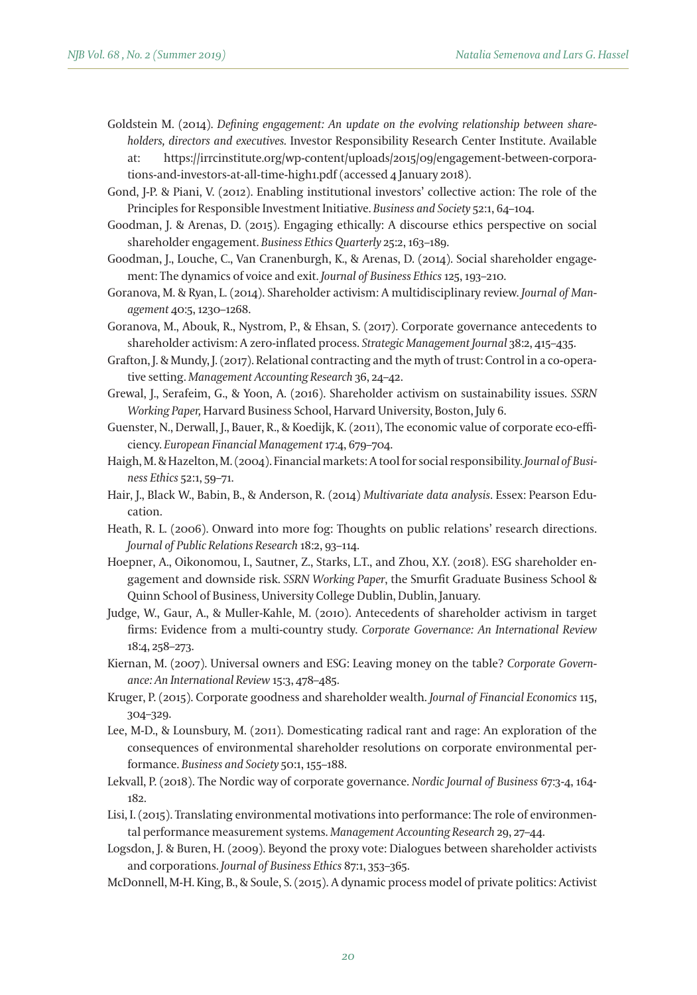- Goldstein M. (2014). *Defining engagement: An update on the evolving relationship between shareholders, directors and executives.* Investor Responsibility Research Center Institute. Available at: htps://irrcinstitute.org/wp-content/uploads/2015/09/engagement-between-corporations-and-investors-at-all-time-high1.pdf (accessed 4 January 2018).
- Gond, J-P. & Piani, V. (2012). Enabling institutional investors' collective action: The role of the Principles for Responsible Investment Initiative. *Business and Society* 52:1, 64–104.
- Goodman, J. & Arenas, D. (2015). Engaging ethically: A discourse ethics perspective on social shareholder engagement. *Business Ethics Quarterly* 25:2, 163–189.
- Goodman, J., Louche, C., Van Cranenburgh, K., & Arenas, D. (2014). Social shareholder engagement: The dynamics of voice and exit. *Journal of Business Ethics* 125, 193–210.
- Goranova, M. & Ryan, L. (2014). Shareholder activism: A multidisciplinary review. *Journal of Management* 40:5, 1230–1268.
- Goranova, M., Abouk, R., Nystrom, P., & Ehsan, S. (2017). Corporate governance antecedents to shareholder activism: A zero-inflated process. *Strategic Management Journal* 38:2, 415–435.
- Grafton, J. & Mundy, J. (2017). Relational contracting and the myth of trust: Control in a co-operative seting. *Management Accounting Research* 36, 24–42.
- Grewal, J., Serafeim, G., & Yoon, A. (2016). Shareholder activism on sustainability issues. *SSRN Working Paper,* Harvard Business School, Harvard University, Boston, July 6.
- Guenster, N., Derwall, J., Bauer, R., & Koedijk, K. (2011), The economic value of corporate eco-efficiency. *European Financial Management* 17:4, 679–704.
- Haigh, M. & Hazelton, M. (2004). Financial markets: A tool for social responsibility. *Journal of Business Ethics* 52:1, 59–71.
- Hair, J., Black W., Babin, B., & Anderson, R. (2014) *Multivariate data analysis*. Essex: Pearson Education.
- Heath, R. L. (2006). Onward into more fog: Thoughts on public relations' research directions. *Journal of Public Relations Research* 18:2, 93–114.
- Hoepner, A., Oikonomou, I., Sautner, Z., Starks, L.T., and Zhou, X.Y. (2018). ESG shareholder engagement and downside risk. *SSRN Working Paper*, the Smurfit Graduate Business School & Quinn School of Business, University College Dublin, Dublin, January.
- Judge, W., Gaur, A., & Muller-Kahle, M. (2010). Antecedents of shareholder activism in target firms: Evidence from a multi-country study. *Corporate Governance: An International Review* 18:4, 258–273.
- Kiernan, M. (2007). Universal owners and ESG: Leaving money on the table? *Corporate Governance: An International Review* 15:3, 478–485.
- Kruger, P. (2015). Corporate goodness and shareholder wealth. *Journal of Financial Economics* 115, 304–329.
- Lee, M-D., & Lounsbury, M. (2011). Domesticating radical rant and rage: An exploration of the consequences of environmental shareholder resolutions on corporate environmental performance. *Business and Society* 50:1, 155–188.
- Lekvall, P. (2018). The Nordic way of corporate governance. *Nordic Journal of Business* 67:3-4, 164- 182.
- Lisi, I. (2015). Translating environmental motivations into performance: The role of environmental performance measurement systems. *Management Accounting Research* 29, 27–44.
- Logsdon, J. & Buren, H. (2009). Beyond the proxy vote: Dialogues between shareholder activists and corporations. *Journal of Business Ethics* 87:1, 353–365.
- McDonnell, M-H. King, B., & Soule, S. (2015). A dynamic process model of private politics: Activist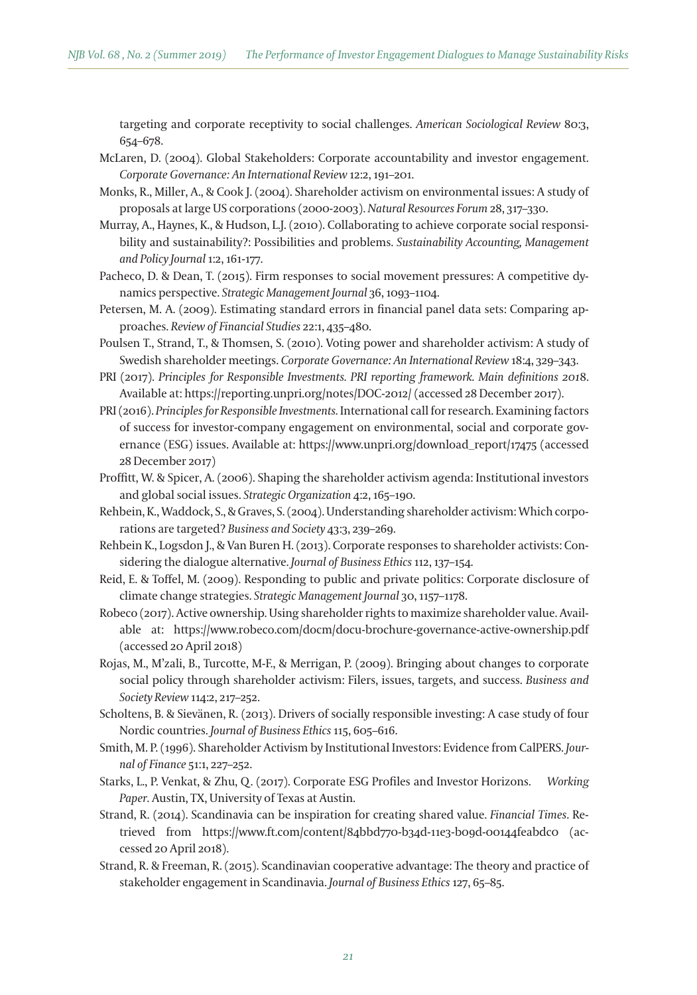targeting and corporate receptivity to social challenges. *American Sociological Review* 80:3, 654–678.

- McLaren, D. (2004). Global Stakeholders: Corporate accountability and investor engagement. *Corporate Governance: An International Review* 12:2, 191–201.
- Monks, R., Miller, A., & Cook J. (2004). Shareholder activism on environmental issues: A study of proposals at large US corporations (2000-2003). *Natural Resources Forum* 28, 317–330.
- Murray, A., Haynes, K., & Hudson, L.J. (2010). Collaborating to achieve corporate social responsibility and sustainability?: Possibilities and problems. *Sustainability Accounting, Management and Policy Journal* 1:2, 161-177.
- Pacheco, D. & Dean, T. (2015). Firm responses to social movement pressures: A competitive dynamics perspective. *Strategic Management Journal* 36, 1093–1104.
- Petersen, M. A. (2009). Estimating standard errors in financial panel data sets: Comparing approaches. *Review of Financial Studies* 22:1, 435–480.
- Poulsen T., Strand, T., & Thomsen, S. (2010). Voting power and shareholder activism: A study of Swedish shareholder meetings. *Corporate Governance: An International Review* 18:4, 329–343.
- PRI (2017). *Principles for Responsible Investments. PRI reporting framework. Main definitions 201*8. Available at: htps://reporting.unpri.org/notes/DOC-2012/ (accessed 28 December 2017).
- PRI (2016). *Principles for Responsible Investments.* International call for research. Examining factors of success for investor-company engagement on environmental, social and corporate governance (ESG) issues. Available at: htps://www.unpri.org/download\_report/17475 (accessed 28 December 2017)
- Proffit, W. & Spicer, A. (2006). Shaping the shareholder activism agenda: Institutional investors and global social issues. *Strategic Organization* 4:2, 165–190.
- Rehbein, K., Waddock, S., & Graves, S. (2004). Understanding shareholder activism: Which corporations are targeted? *Business and Society* 43:3, 239–269.
- Rehbein K., Logsdon J., & Van Buren H. (2013). Corporate responses to shareholder activists: Considering the dialogue alternative. *Journal of Business Ethics* 112, 137–154.
- Reid, E. & Toffel, M. (2009). Responding to public and private politics: Corporate disclosure of climate change strategies. *Strategic Management Journal* 30, 1157–1178.
- Robeco (2017). Active ownership. Using shareholder rights to maximize shareholder value. Available at: htps://www.robeco.com/docm/docu-brochure-governance-active-ownership.pdf (accessed 20 April 2018)
- Rojas, M., M'zali, B., Turcote, M-F., & Merrigan, P. (2009). Bringing about changes to corporate social policy through shareholder activism: Filers, issues, targets, and success. *Business and Society Review* 114:2, 217–252.
- Scholtens, B. & Sievänen, R. (2013). Drivers of socially responsible investing: A case study of four Nordic countries. *Journal of Business Ethics* 115, 605–616.
- Smith, M. P. (1996). Shareholder Activism by Institutional Investors: Evidence from CalPERS. *Journal of Finance* 51:1, 227–252.
- Starks, L., P. Venkat, & Zhu, Q. (2017). Corporate ESG Profiles and Investor Horizons. *Working Paper*. Austin, TX, University of Texas at Austin.
- Strand, R. (2014). Scandinavia can be inspiration for creating shared value. *Financial Times*. Retrieved from htps://www.ft.com/content/84bbd770-b34d-11e3-b09d-00144feabdc0 (accessed 20 April 2018).
- Strand, R. & Freeman, R. (2015). Scandinavian cooperative advantage: The theory and practice of stakeholder engagement in Scandinavia. *Journal of Business Ethics* 127, 65–85.